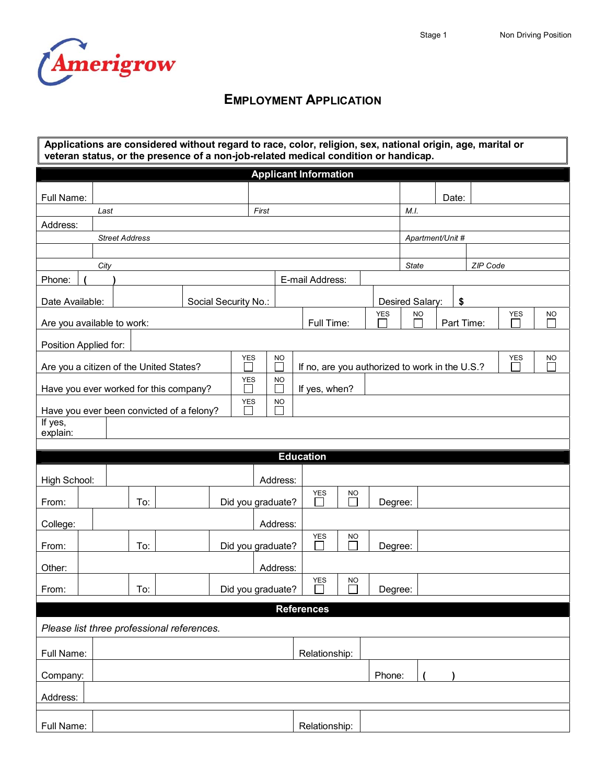

## **EMPLOYMENT APPLICATION**

| Applications are considered without regard to race, color, religion, sex, national origin, age, marital or<br>veteran status, or the presence of a non-job-related medical condition or handicap. |                                   |     |                                            |                   |           |                  |                                                              |            |           |                          |       |  |           |           |  |
|---------------------------------------------------------------------------------------------------------------------------------------------------------------------------------------------------|-----------------------------------|-----|--------------------------------------------|-------------------|-----------|------------------|--------------------------------------------------------------|------------|-----------|--------------------------|-------|--|-----------|-----------|--|
| <b>Applicant Information</b>                                                                                                                                                                      |                                   |     |                                            |                   |           |                  |                                                              |            |           |                          |       |  |           |           |  |
| Full Name:                                                                                                                                                                                        |                                   |     |                                            |                   |           |                  |                                                              |            |           |                          | Date: |  |           |           |  |
|                                                                                                                                                                                                   | First<br>Last                     |     |                                            |                   |           |                  |                                                              |            | M.I.      |                          |       |  |           |           |  |
|                                                                                                                                                                                                   | Address:<br><b>Street Address</b> |     |                                            |                   |           |                  |                                                              |            |           | Apartment/Unit #         |       |  |           |           |  |
|                                                                                                                                                                                                   |                                   |     |                                            |                   |           |                  |                                                              |            |           |                          |       |  |           |           |  |
|                                                                                                                                                                                                   | City                              |     |                                            |                   |           |                  |                                                              |            |           | <b>State</b><br>ZIP Code |       |  |           |           |  |
| Phone:                                                                                                                                                                                            |                                   |     |                                            |                   |           | E-mail Address:  |                                                              |            |           |                          |       |  |           |           |  |
| Date Available:                                                                                                                                                                                   | Social Security No.:              |     |                                            |                   |           |                  |                                                              |            |           | Desired Salary:<br>\$    |       |  |           |           |  |
| Are you available to work:                                                                                                                                                                        |                                   |     |                                            |                   |           | Full Time:       |                                                              | <b>YES</b> | <b>NO</b> | <b>YES</b><br>Part Time: |       |  | <b>NO</b> |           |  |
| Position Applied for:                                                                                                                                                                             |                                   |     |                                            |                   |           |                  |                                                              |            |           |                          |       |  |           |           |  |
| <b>YES</b><br>Are you a citizen of the United States?                                                                                                                                             |                                   |     |                                            |                   | <b>NO</b> |                  | <b>YES</b><br>If no, are you authorized to work in the U.S.? |            |           |                          |       |  |           | <b>NO</b> |  |
| <b>YES</b><br>Have you ever worked for this company?                                                                                                                                              |                                   |     |                                            |                   | <b>NO</b> | If yes, when?    |                                                              |            |           |                          |       |  |           |           |  |
| Have you ever been convicted of a felony?                                                                                                                                                         | <b>NO</b>                         |     |                                            |                   |           |                  |                                                              |            |           |                          |       |  |           |           |  |
| If yes,<br>explain:                                                                                                                                                                               |                                   |     |                                            |                   |           |                  |                                                              |            |           |                          |       |  |           |           |  |
|                                                                                                                                                                                                   |                                   |     |                                            |                   |           | <b>Education</b> |                                                              |            |           |                          |       |  |           |           |  |
|                                                                                                                                                                                                   |                                   |     |                                            |                   |           |                  |                                                              |            |           |                          |       |  |           |           |  |
| High School:                                                                                                                                                                                      |                                   |     |                                            |                   | Address:  |                  |                                                              |            |           |                          |       |  |           |           |  |
| From:                                                                                                                                                                                             |                                   | To: |                                            | Did you graduate? |           | <b>YES</b>       | <b>NO</b>                                                    | Degree:    |           |                          |       |  |           |           |  |
| College:                                                                                                                                                                                          |                                   |     |                                            |                   | Address:  |                  |                                                              |            |           |                          |       |  |           |           |  |
| From:                                                                                                                                                                                             | To:                               |     |                                            | Did you graduate? |           | <b>YES</b>       | <b>NO</b>                                                    | Degree:    |           |                          |       |  |           |           |  |
| Other:                                                                                                                                                                                            |                                   |     |                                            |                   | Address:  |                  |                                                              |            |           |                          |       |  |           |           |  |
| From:                                                                                                                                                                                             |                                   | To: |                                            | Did you graduate? |           | <b>YES</b>       | <b>NO</b>                                                    | Degree:    |           |                          |       |  |           |           |  |
| <b>References</b>                                                                                                                                                                                 |                                   |     |                                            |                   |           |                  |                                                              |            |           |                          |       |  |           |           |  |
|                                                                                                                                                                                                   |                                   |     | Please list three professional references. |                   |           |                  |                                                              |            |           |                          |       |  |           |           |  |
| Full Name:                                                                                                                                                                                        |                                   |     |                                            |                   |           | Relationship:    |                                                              |            |           |                          |       |  |           |           |  |
| Company:                                                                                                                                                                                          |                                   |     |                                            |                   |           |                  |                                                              | Phone:     |           |                          |       |  |           |           |  |
| Address:                                                                                                                                                                                          |                                   |     |                                            |                   |           |                  |                                                              |            |           |                          |       |  |           |           |  |
| Full Name:                                                                                                                                                                                        |                                   |     |                                            |                   |           | Relationship:    |                                                              |            |           |                          |       |  |           |           |  |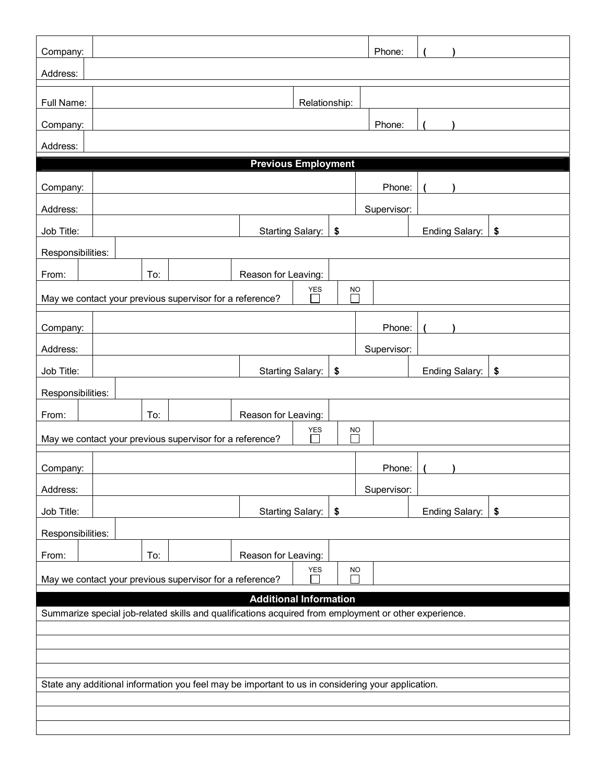| Company:                                                                                              |                   |     |                                                          |                         |               |           | Phone:      |                |    |  |  |
|-------------------------------------------------------------------------------------------------------|-------------------|-----|----------------------------------------------------------|-------------------------|---------------|-----------|-------------|----------------|----|--|--|
| Address:                                                                                              |                   |     |                                                          |                         |               |           |             |                |    |  |  |
| Full Name:                                                                                            |                   |     |                                                          |                         | Relationship: |           |             |                |    |  |  |
| Company:                                                                                              |                   |     |                                                          |                         |               |           | Phone:      |                |    |  |  |
| Address:                                                                                              |                   |     |                                                          |                         |               |           |             |                |    |  |  |
| <b>Previous Employment</b>                                                                            |                   |     |                                                          |                         |               |           |             |                |    |  |  |
| Company:                                                                                              |                   |     |                                                          |                         |               |           | Phone:      |                |    |  |  |
| Address:                                                                                              |                   |     |                                                          |                         |               |           | Supervisor: |                |    |  |  |
| Job Title:                                                                                            |                   |     |                                                          | <b>Starting Salary:</b> |               | \$        |             | Ending Salary: | \$ |  |  |
| Responsibilities:                                                                                     |                   |     |                                                          |                         |               |           |             |                |    |  |  |
| From:                                                                                                 |                   | To: |                                                          | Reason for Leaving:     |               |           |             |                |    |  |  |
|                                                                                                       |                   |     | May we contact your previous supervisor for a reference? |                         | <b>YES</b>    | <b>NO</b> |             |                |    |  |  |
| Company:                                                                                              |                   |     |                                                          |                         |               |           | Phone:      |                |    |  |  |
| Address:                                                                                              |                   |     |                                                          |                         |               |           | Supervisor: |                |    |  |  |
| Job Title:                                                                                            |                   |     |                                                          | <b>Starting Salary:</b> |               | \$        |             | Ending Salary: | \$ |  |  |
|                                                                                                       | Responsibilities: |     |                                                          |                         |               |           |             |                |    |  |  |
| From:                                                                                                 |                   | To: |                                                          | Reason for Leaving:     |               |           |             |                |    |  |  |
|                                                                                                       |                   |     | May we contact your previous supervisor for a reference? |                         | <b>YES</b>    | <b>NO</b> |             |                |    |  |  |
| Company:                                                                                              |                   |     |                                                          |                         |               |           | Phone:      |                |    |  |  |
| Address:                                                                                              |                   |     |                                                          |                         |               |           | Supervisor: |                |    |  |  |
| Job Title:                                                                                            |                   |     |                                                          | Starting Salary:        |               | \$        |             | Ending Salary: | \$ |  |  |
| Responsibilities:                                                                                     |                   |     |                                                          |                         |               |           |             |                |    |  |  |
| From:                                                                                                 |                   | To: |                                                          | Reason for Leaving:     |               |           |             |                |    |  |  |
| ${\tt YES}$<br><b>NO</b><br>May we contact your previous supervisor for a reference?                  |                   |     |                                                          |                         |               |           |             |                |    |  |  |
| <b>Additional Information</b>                                                                         |                   |     |                                                          |                         |               |           |             |                |    |  |  |
| Summarize special job-related skills and qualifications acquired from employment or other experience. |                   |     |                                                          |                         |               |           |             |                |    |  |  |
|                                                                                                       |                   |     |                                                          |                         |               |           |             |                |    |  |  |
|                                                                                                       |                   |     |                                                          |                         |               |           |             |                |    |  |  |
| State any additional information you feel may be important to us in considering your application.     |                   |     |                                                          |                         |               |           |             |                |    |  |  |
|                                                                                                       |                   |     |                                                          |                         |               |           |             |                |    |  |  |
|                                                                                                       |                   |     |                                                          |                         |               |           |             |                |    |  |  |